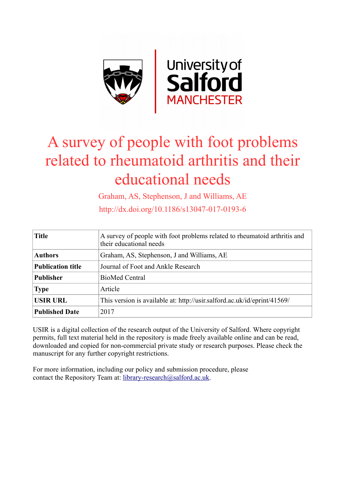

# A survey of people with foot problems related to rheumatoid arthritis and their educational needs

Graham, AS, Stephenson, J and Williams, AE http://dx.doi.org/10.1186/s13047-017-0193-6

| <b>Title</b>             | A survey of people with foot problems related to rheumatoid arthritis and<br>their educational needs |
|--------------------------|------------------------------------------------------------------------------------------------------|
| <b>Authors</b>           | Graham, AS, Stephenson, J and Williams, AE                                                           |
| <b>Publication title</b> | Journal of Foot and Ankle Research                                                                   |
| <b>Publisher</b>         | <b>BioMed Central</b>                                                                                |
| <b>Type</b>              | Article                                                                                              |
| <b>USIR URL</b>          | This version is available at: http://usir.salford.ac.uk/id/eprint/41569/                             |
| <b>Published Date</b>    | 2017                                                                                                 |

USIR is a digital collection of the research output of the University of Salford. Where copyright permits, full text material held in the repository is made freely available online and can be read, downloaded and copied for non-commercial private study or research purposes. Please check the manuscript for any further copyright restrictions.

For more information, including our policy and submission procedure, please contact the Repository Team at: [library-research@salford.ac.uk.](mailto:library-research@salford.ac.uk)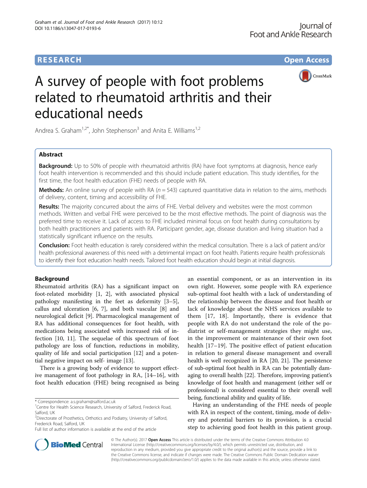## **RESEARCH CHE Open Access**



## A survey of people with foot problems related to rheumatoid arthritis and their educational needs

Andrea S. Graham<sup>1,2\*</sup>, John Stephenson<sup>3</sup> and Anita E. Williams<sup>1,2</sup>

## Abstract

**Background:** Up to 50% of people with rheumatoid arthritis (RA) have foot symptoms at diagnosis, hence early foot health intervention is recommended and this should include patient education. This study identifies, for the first time, the foot health education (FHE) needs of people with RA.

**Methods:** An online survey of people with RA ( $n = 543$ ) captured quantitative data in relation to the aims, methods of delivery, content, timing and accessibility of FHE.

Results: The majority concurred about the aims of FHE. Verbal delivery and websites were the most common methods. Written and verbal FHE were perceived to be the most effective methods. The point of diagnosis was the preferred time to receive it. Lack of access to FHE included minimal focus on foot health during consultations by both health practitioners and patients with RA. Participant gender, age, disease duration and living situation had a statistically significant influence on the results.

Conclusion: Foot health education is rarely considered within the medical consultation. There is a lack of patient and/or health professional awareness of this need with a detrimental impact on foot health. Patients require health professionals to identify their foot education health needs. Tailored foot health education should begin at initial diagnosis.

## Background

Rheumatoid arthritis (RA) has a significant impact on foot-related morbidity [[1, 2](#page-7-0)], with associated physical pathology manifesting in the feet as deformity [\[3](#page-7-0)–[5](#page-7-0)], callus and ulceration [[6, 7](#page-7-0)], and both vascular [[8\]](#page-7-0) and neurological deficit [\[9\]](#page-7-0). Pharmacological management of RA has additional consequences for foot health, with medications being associated with increased risk of infection [\[10](#page-7-0), [11](#page-7-0)]. The sequelae of this spectrum of foot pathology are loss of function, reductions in mobility, quality of life and social participation [[12\]](#page-7-0) and a potential negative impact on self- image [[13](#page-7-0)].

There is a growing body of evidence to support effective management of foot pathology in RA, [\[14](#page-7-0)–[16\]](#page-7-0), with foot health education (FHE) being recognised as being

\* Correspondence: [a.s.graham@salford.ac.uk](mailto:a.s.graham@salford.ac.uk) <sup>1</sup>

Full list of author information is available at the end of the article

an essential component, or as an intervention in its own right. However, some people with RA experience sub-optimal foot health with a lack of understanding of the relationship between the disease and foot health or lack of knowledge about the NHS services available to them [\[17](#page-8-0), [18\]](#page-8-0). Importantly, there is evidence that people with RA do not understand the role of the podiatrist or self-management strategies they might use, in the improvement or maintenance of their own foot health [\[17](#page-8-0)–[19](#page-8-0)]. The positive effect of patient education in relation to general disease management and overall health is well recognized in RA [[20, 21\]](#page-8-0). The persistence of sub-optimal foot health in RA can be potentially damaging to overall health [[22](#page-8-0)]. Therefore, improving patient's knowledge of foot health and management (either self or professional) is considered essential to their overall well being, functional ability and quality of life.

Having an understanding of the FHE needs of people with RA in respect of the content, timing, mode of delivery and potential barriers to its provision, is a crucial step to achieving good foot health in this patient group.



© The Author(s). 2017 **Open Access** This article is distributed under the terms of the Creative Commons Attribution 4.0 International License [\(http://creativecommons.org/licenses/by/4.0/](http://creativecommons.org/licenses/by/4.0/)), which permits unrestricted use, distribution, and reproduction in any medium, provided you give appropriate credit to the original author(s) and the source, provide a link to the Creative Commons license, and indicate if changes were made. The Creative Commons Public Domain Dedication waiver [\(http://creativecommons.org/publicdomain/zero/1.0/](http://creativecommons.org/publicdomain/zero/1.0/)) applies to the data made available in this article, unless otherwise stated.

<sup>&</sup>lt;sup>1</sup> Centre for Health Science Research, University of Salford, Frederick Road, Salford, UK

<sup>&</sup>lt;sup>2</sup>Directorate of Prosthetics, Orthotics and Podiatry, University of Salford, Frederick Road, Salford, UK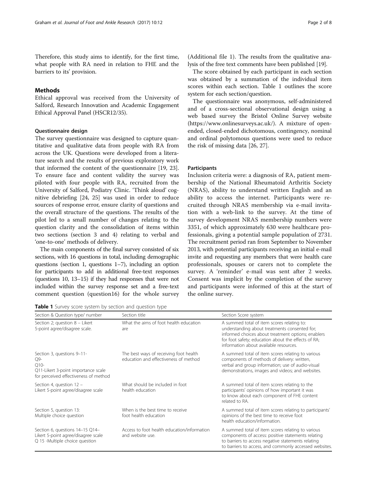Therefore, this study aims to identify, for the first time, what people with RA need in relation to FHE and the barriers to its' provision.

## Methods

Ethical approval was received from the University of Salford, Research Innovation and Academic Engagement Ethical Approval Panel (HSCR12/35).

## Questionnaire design

The survey questionnaire was designed to capture quantitative and qualitative data from people with RA from across the UK. Questions were developed from a literature search and the results of previous exploratory work that informed the content of the questionnaire [[19, 23](#page-8-0)]. To ensure face and content validity the survey was piloted with four people with RA, recruited from the University of Salford, Podiatry Clinic. 'Think aloud' cognitive debriefing [[24, 25](#page-8-0)] was used in order to reduce sources of response error, ensure clarity of questions and the overall structure of the questions. The results of the pilot led to a small number of changes relating to the question clarity and the consolidation of items within two sections (section 3 and 4) relating to verbal and 'one-to-one' methods of delivery.

The main components of the final survey consisted of six sections, with 16 questions in total, including demographic questions (section 1, questions 1–7), including an option for participants to add in additional free-text responses (questions 10, 13–15) if they had responses that were not included within the survey response set and a free-text comment question (question16) for the whole survey

(Additional file [1\)](#page-7-0). The results from the qualitative analysis of the free text comments have been published [[19](#page-8-0)].

The score obtained by each participant in each section was obtained by a summation of the individual item scores within each section. Table 1 outlines the score system for each section/question.

The questionnaire was anonymous, self-administered and of a cross-sectional observational design using a web based survey the Bristol Online Survey website (<https://www.onlinesurveys.ac.uk/>). A mixture of openended, closed-ended dichotomous, contingency, nominal and ordinal polytomous questions were used to reduce the risk of missing data [[26](#page-8-0), [27](#page-8-0)].

## Participants

Inclusion criteria were: a diagnosis of RA, patient membership of the National Rheumatoid Arthritis Society (NRAS), ability to understand written English and an ability to access the internet. Participants were recruited through NRAS membership via e-mail invitation with a web-link to the survey. At the time of survey development NRAS membership numbers were 3351, of which approximately 630 were healthcare professionals, giving a potential sample population of 2731. The recruitment period ran from September to November 2013, with potential participants receiving an initial e-mail invite and requesting any members that were health care professionals, spouses or carers not to complete the survey. A 'reminder' e-mail was sent after 2 weeks. Consent was implicit by the completion of the survey and participants were informed of this at the start of the online survey.

Table 1 Survey score system by section and question type

| Section & Question type/ number                                                                                             | Section title                                                                   | Section Score system                                                                                                                                                                                                                               |  |  |  |
|-----------------------------------------------------------------------------------------------------------------------------|---------------------------------------------------------------------------------|----------------------------------------------------------------------------------------------------------------------------------------------------------------------------------------------------------------------------------------------------|--|--|--|
| Section 2; question $8$ – Likert<br>5-point agree/disagree scale.                                                           | What the aims of foot health education<br>are                                   | A summed total of item scores relating to:<br>understanding about treatments consented for;<br>informed choices about treatment options; enablers<br>for foot safety; education about the effects of RA;<br>information about available resources. |  |  |  |
| Section 3, questions 9-11-<br>Q9-<br>$Q10-$<br>Q11-Likert 3-point importance scale<br>for perceived effectiveness of method | The best ways of receiving foot health<br>education and effectiveness of method | A summed total of item scores relating to various<br>components of methods of delivery: written,<br>verbal and group information; use of audio-visual<br>demonstrations, images and videos; and websites.                                          |  |  |  |
| Section 4, question 12 -<br>Likert 5-point agree/disagree scale                                                             | What should be included in foot<br>health education                             | A summed total of item scores relating to the<br>participants' opinions of how important it was<br>to know about each component of FHE content<br>related to RA.                                                                                   |  |  |  |
| Section 5, question 13:<br>Multiple choice question                                                                         | When is the best time to receive<br>foot health education                       | A summed total of item scores relating to participants'<br>opinions of the best time to receive foot<br>health education/information.                                                                                                              |  |  |  |
| Section 6, questions 14-15 Q14-<br>Likert 5-point agree/disagree scale<br>Q 15 -Multiple choice question                    | Access to foot health education/information<br>and website use.                 | A summed total of item scores relating to various<br>components of access: positive statements relating<br>to barriers to access negative statements relating<br>to barriers to access, and commonly accessed websites                             |  |  |  |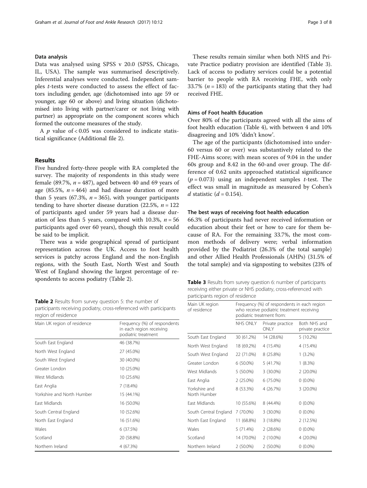## Data analysis

Data was analysed using SPSS v 20.0 (SPSS, Chicago, IL, USA). The sample was summarised descriptively. Inferential analyses were conducted. Independent samples t-tests were conducted to assess the effect of factors including gender, age (dichotomised into age 59 or younger, age 60 or above) and living situation (dichotomised into living with partner/carer or not living with partner) as appropriate on the component scores which formed the outcome measures of the study.

A  $p$  value of < 0.05 was considered to indicate statistical significance (Additional file [2\)](#page-7-0).

### Results

Five hundred forty-three people with RA completed the survey. The majority of respondents in this study were female (89.7%,  $n = 487$ ), aged between 40 and 69 years of age (85.5%,  $n = 464$ ) and had disease duration of more than 5 years (67.3%,  $n = 365$ ), with younger participants tending to have shorter disease duration (22.5%,  $n = 122$ ) of participants aged under 59 years had a disease duration of less than 5 years, compared with 10.3%,  $n = 56$ participants aged over 60 years), though this result could be said to be implicit.

There was a wide geographical spread of participant representation across the UK. Access to foot health services is patchy across England and the non-English regions, with the South East, North West and South West of England showing the largest percentage of respondents to access podiatry (Table 2).

Table 2 Results from survey question 5: the number of participants receiving podiatry, cross-referenced with participants region of residence

| Main UK region of residence | Frequency (%) of respondents<br>in each region receiving<br>podiatric treatment |  |
|-----------------------------|---------------------------------------------------------------------------------|--|
| South East England          | 46 (38.7%)                                                                      |  |
| North West England          | 27 (45.0%)                                                                      |  |
| South West England          | 30 (40.0%)                                                                      |  |
| Greater London              | 10 (25.0%)                                                                      |  |
| West Midlands               | 10 (25.6%)                                                                      |  |
| East Anglia                 | 7(18.4%)                                                                        |  |
| Yorkshire and North Humber  | 15 (44.1%)                                                                      |  |
| East Midlands               | 16 (50.0%)                                                                      |  |
| South Central England       | 10 (52.6%)                                                                      |  |
| North East England          | 16 (51.6%)                                                                      |  |
| Wales                       | 6 (37.5%)                                                                       |  |
| Scotland                    | 20 (58.8%)                                                                      |  |
| Northern Ireland            | 4 (67.3%)                                                                       |  |

These results remain similar when both NHS and Private Practice podiatry provision are identified (Table 3). Lack of access to podiatry services could be a potential barrier to people with RA receiving FHE, with only 33.7% ( $n = 183$ ) of the participants stating that they had received FHE.

## Aims of Foot health Education

Over 80% of the participants agreed with all the aims of foot health education (Table [4](#page-4-0)), with between 4 and 10% disagreeing and 10% 'didn't know'.

The age of the participants (dichotomised into under-60 versus 60 or over) was substantively related to the FHE-Aims score; with mean scores of 9.04 in the under 60s group and 8.42 in the 60-and over group. The difference of 0.62 units approached statistical significance  $(p = 0.073)$  using an independent samples *t*-test. The effect was small in magnitude as measured by Cohen's d statistic ( $d = 0.154$ ).

#### The best ways of receiving foot health education

66.3% of participants had never received information or education about their feet or how to care for them because of RA. For the remaining 33.7%, the most common methods of delivery were; verbal information provided by the Podiatrist (26.3% of the total sample) and other Allied Health Professionals (AHPs) (31.5% of the total sample) and via signposting to websites (23% of

Table 3 Results from survey question 6: number of participants receiving either private or NHS podiatry, cross-referenced with participants region of residence

| Main UK region<br>of residence | Frequency (%) of respondents in each region<br>who receive podiatric treatment receiving<br>podiatric treatment from: |                                 |                                  |  |
|--------------------------------|-----------------------------------------------------------------------------------------------------------------------|---------------------------------|----------------------------------|--|
|                                | NHS ONI Y                                                                                                             | Private practice<br><b>ONLY</b> | Both NHS and<br>private practice |  |
| South East England             | 30 (61.2%)                                                                                                            | 14 (28.6%)                      | 5 (10.2%)                        |  |
| North West England             | 18 (69.2%)                                                                                                            | 4 (15.4%)                       | 4 (15.4%)                        |  |
| South West England             | 22 (71.0%)                                                                                                            | 8 (25.8%)                       | $1(3.2\%)$                       |  |
| Greater London                 | 6 (50.0%)                                                                                                             | 5 (41.7%)                       | 1(8.3%)                          |  |
| West Midlands                  | 5 (50.0%)                                                                                                             | 3 (30.0%)                       | $2(20.0\%)$                      |  |
| East Anglia                    | 2 (25.0%)                                                                                                             | 6 (75.0%)                       | $0(0.0\%)$                       |  |
| Yorkshire and<br>North Humber  | 8 (53.3%)                                                                                                             | 4 (26.7%)                       | 3 (20.0%)                        |  |
| <b>Fast Midlands</b>           | 10 (55.6%)                                                                                                            | 8 (44.4%)                       | $0(0.0\%)$                       |  |
| South Central England          | 7 (70.0%)                                                                                                             | 3 (30.0%)                       | $0(0.0\%)$                       |  |
| North East England             | 11 (68.8%)                                                                                                            | 3 (18.8%)                       | 2 (12.5%)                        |  |
| Wales                          | 5 (71.4%)                                                                                                             | 2(28.6%)                        | $0(0.0\%)$                       |  |
| Scotland                       | 14 (70.0%)                                                                                                            | $2(10.0\%)$                     | 4 (20.0%)                        |  |
| Northern Ireland               | 2 (50.0%)                                                                                                             | $2(50.0\%)$                     | $0(0.0\%)$                       |  |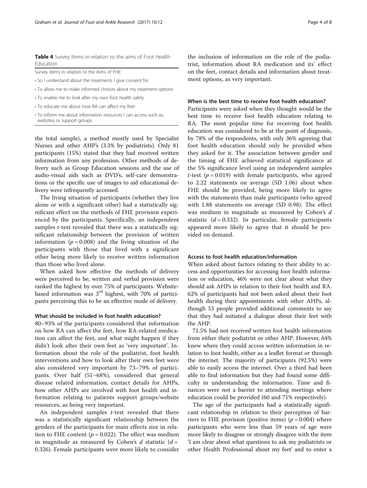<span id="page-4-0"></span>Table 4 Survey Items in relation to the aims of Foot Health Education

Survey items in relation to the Aims of FHE:

- So I understand about the treatments I give consent for
- To allow me to make informed choices about my treatment options
- To enable me to look after my own foot health safely
- To educate me about how RA can affect my feet
- To inform me about information resources I can access such as; websites or support groups.

the total sample), a method mostly used by Specialist Nurses and other AHP's (3.3% by podiatrists). Only 81 participants (15%) stated that they had received written information from any profession. Other methods of delivery such as Group Education sessions and the use of audio-visual aids such as DVD's, self-care demonstrations or the specific use of images to aid educational delivery were infrequently accessed.

The living situation of participants (whether they live alone or with a significant other) had a statistically significant effect on the methods of FHE provision experienced by the participants. Specifically, an independent samples *t*-test revealed that there was a statistically significant relationship between the provision of written information ( $p = 0.008$ ) and the living situation of the participants with those that lived with a significant other being more likely to receive written information than those who lived alone.

When asked how effective the methods of delivery were perceived to be, written and verbal provision were ranked the highest by over 75% of participants. Websitebased information was  $3<sup>rd</sup>$  highest, with 70% of participants perceiving this to be an effective mode of delivery.

## What should be included in foot health education?

80–93% of the participants considered that information on how RA can affect the feet, how RA-related medication can affect the feet, and what might happen if they didn't look after their own feet as 'very important'. Information about the role of the podiatrist, foot health interventions and how to look after their own feet were also considered very important by 73–79% of participants. Over half (51–68%), considered that general disease related information, contact details for AHPs, how other AHPs are involved with foot health and information relating to patients support groups/website resources, as being very important.

An independent samples  $t$ -test revealed that there was a statistically significant relationship between the genders of the participants for main effects size in relation to FHE content ( $p = 0.022$ ). The effect was medium in magnitude as measured by Cohen's d statistic  $(d =$ 0.326). Female participants were more likely to consider

## When is the best time to receive foot health education?

Participants were asked when they thought would be the best time to receive foot health education relating to RA. The most popular time for receiving foot health education was considered to be at the point of diagnosis, by 78% of the respondents, with only 36% agreeing that foot health education should only be provided when they asked for it. The association between gender and the timing of FHE achieved statistical significance at the 5% significance level using an independent samples t-test ( $p = 0.019$ ) with female participants, who agreed to 2.22 statements on average (SD 1.06) about when FHE should be provided, being more likely to agree with the statements than male participants (who agreed with 1.88 statements on average (SD 0.98). The effect was medium in magnitude as measured by Cohen's d statistic  $(d = 0.332)$ . In particular, female participants appeared more likely to agree that it should be provided on demand.

## Access to foot health education/information

When asked about factors relating to their ability to access and opportunities for accessing foot health information or education, 46% were not clear about what they should ask AHPs in relation to their foot health and RA. 62% of participants had not been asked about their foot health during their appointments with other AHPs, although 53 people provided additional comments to say that they had initiated a dialogue about their feet with the AHP.

71.5% had not received written foot health information from either their podiatrist or other AHP. However, 64% knew where they could access written information in relation to foot health, either as a leaflet format or through the internet. The majority of participants (92.5%) were able to easily access the internet. Over a third had been able to find information but they had found some difficulty in understanding the information. Time and finances were not a barrier to attending meetings where education could be provided (60 and 71% respectively).

The age of the participants had a statistically significant relationship in relation to their perception of barriers to FHE provision (positive items) ( $p = 0.004$ ) where participants who were less than 59 years of age were more likely to disagree or strongly disagree with the item 'I am clear about what questions to ask my podiatrists or other Health Professional about my feet' and to enter a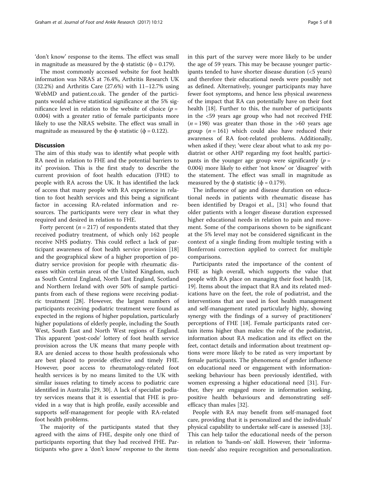'don't know' response to the items. The effect was small in magnitude as measured by the φ statistic ( $φ = 0.179$ ).

The most commonly accessed website for foot health information was NRAS at 76.4%, Arthritis Research UK (32.2%) and Arthritis Care (27.6%) with 11–12.7% using WebMD and patient.co.uk. The gender of the participants would achieve statistical significance at the 5% significance level in relation to the website of choice  $(p =$ 0.004) with a greater ratio of female participants more likely to use the NRAS website. The effect was small in magnitude as measured by the  $\phi$  statistic ( $\phi$  = 0.122).

## **Discussion**

The aim of this study was to identify what people with RA need in relation to FHE and the potential barriers to its' provision. This is the first study to describe the current provision of foot health education (FHE) to people with RA across the UK. It has identified the lack of access that many people with RA experience in relation to foot health services and this being a significant factor in accessing RA-related information and resources. The participants were very clear in what they required and desired in relation to FHE.

Forty percent ( $n = 217$ ) of respondents stated that they received podiatry treatment, of which only 162 people receive NHS podiatry. This could reflect a lack of participant awareness of foot health service provision [[18](#page-8-0)] and the geographical skew of a higher proportion of podiatry service provision for people with rheumatic diseases within certain areas of the United Kingdom, such as South Central England, North East England, Scotland and Northern Ireland with over 50% of sample participants from each of these regions were receiving podiatric treatment [[28\]](#page-8-0). However, the largest numbers of participants receiving podiatric treatment were found as expected in the regions of higher population, particularly higher populations of elderly people, including the South West, South East and North West regions of England. This apparent 'post-code' lottery of foot health service provision across the UK means that many people with RA are denied access to those health professionals who are best placed to provide effective and timely FHE. However, poor access to rheumatology-related foot health services is by no means limited to the UK with similar issues relating to timely access to podiatric care identified in Australia [[29, 30](#page-8-0)]. A lack of specialist podiatry services means that it is essential that FHE is provided in a way that is high profile, easily accessible and supports self-management for people with RA-related foot health problems.

The majority of the participants stated that they agreed with the aims of FHE, despite only one third of participants reporting that they had received FHE. Participants who gave a 'don't know' response to the items in this part of the survey were more likely to be under the age of 59 years. This may be because younger participants tended to have shorter disease duration (<5 years) and therefore their educational needs were possibly not as defined. Alternatively, younger participants may have fewer foot symptoms, and hence less physical awareness of the impact that RA can potentially have on their foot health [\[18\]](#page-8-0). Further to this, the number of participants in the <59 years age group who had not received FHE  $(n = 198)$  was greater than those in the >60 years age group  $(n = 161)$  which could also have reduced their awareness of RA foot-related problems. Additionally, when asked if they; 'were clear about what to ask my podiatrist or other AHP regarding my foot health', participants in the younger age group were significantly  $(p =$ 0.004) more likely to either 'not know' or 'disagree' with the statement. The effect was small in magnitude as measured by the  $\phi$  statistic ( $\phi$  = 0.179).

The influence of age and disease duration on educational needs in patients with rheumatic disease has been identified by Dragoi et al., [[31\]](#page-8-0) who found that older patients with a longer disease duration expressed higher educational needs in relation to pain and movement. Some of the comparisons shown to be significant at the 5% level may not be considered significant in the context of a single finding from multiple testing with a Bonferroni correction applied to correct for multiple comparisons.

Participants rated the importance of the content of FHE as high overall, which supports the value that people with RA place on managing their foot health [[18](#page-8-0), [19\]](#page-8-0). Items about the impact that RA and its related medications have on the feet, the role of podiatrist, and the interventions that are used in foot health management and self-management rated particularly highly, showing synergy with the findings of a survey of practitioners' perceptions of FHE [[18](#page-8-0)]. Female participants rated certain items higher than males: the role of the podiatrist, information about RA medication and its effect on the feet, contact details and information about treatment options were more likely to be rated as very important by female participants. The phenomena of gender influence on educational need or engagement with informationseeking behaviour has been previously identified, with women expressing a higher educational need [[31\]](#page-8-0). Further, they are engaged more in information seeking, positive health behaviours and demonstrating selfefficacy than males [[32](#page-8-0)].

People with RA may benefit from self-managed foot care, providing that it is personalized and the individuals' physical capability to undertake self-care is assessed [\[33](#page-8-0)]. This can help tailor the educational needs of the person in relation to 'hands-on' skill. However, their 'information-needs' also require recognition and personalization.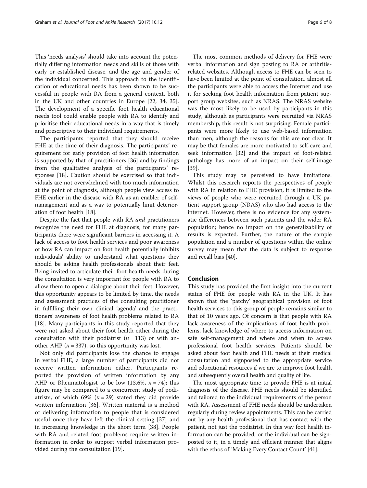This 'needs analysis' should take into account the potentially differing information needs and skills of those with early or established disease, and the age and gender of the individual concerned. This approach to the identification of educational needs has been shown to be successful in people with RA from a general context, both in the UK and other countries in Europe [\[22](#page-8-0), [34, 35](#page-8-0)]. The development of a specific foot health educational needs tool could enable people with RA to identify and prioritise their educational needs in a way that is timely and prescriptive to their individual requirements.

The participants reported that they should receive FHE at the time of their diagnosis. The participants' requirement for early provision of foot health information is supported by that of practitioners [\[36\]](#page-8-0) and by findings from the qualitative analysis of the participants' responses [\[18](#page-8-0)]. Caution should be exercised so that individuals are not overwhelmed with too much information at the point of diagnosis, although people view access to FHE earlier in the disease with RA as an enabler of selfmanagement and as a way to potentially limit deterioration of foot health [[18](#page-8-0)].

Despite the fact that people with RA and practitioners recognize the need for FHE at diagnosis, for many participants there were significant barriers in accessing it. A lack of access to foot health services and poor awareness of how RA can impact on foot health potentially inhibits individuals' ability to understand what questions they should be asking health professionals about their feet. Being invited to articulate their foot health needs during the consultation is very important for people with RA to allow them to open a dialogue about their feet. However, this opportunity appears to be limited by time, the needs and assessment practices of the consulting practitioner in fulfilling their own clinical 'agenda' and the practitioners' awareness of foot health problems related to RA [[18\]](#page-8-0). Many participants in this study reported that they were not asked about their foot health either during the consultation with their podiatrist  $(n = 113)$  or with another AHP ( $n = 337$ ), so this opportunity was lost.

Not only did participants lose the chance to engage in verbal FHE, a large number of participants did not receive written information either. Participants reported the provision of written information by any AHP or Rheumatologist to be low (13.6%,  $n = 74$ ); this figure may be compared to a concurrent study of podiatrists, of which 69% ( $n = 29$ ) stated they did provide written information [[36\]](#page-8-0). Written material is a method of delivering information to people that is considered useful once they have left the clinical setting [[37\]](#page-8-0) and in increasing knowledge in the short term [[38\]](#page-8-0). People with RA and related foot problems require written information in order to support verbal information provided during the consultation [\[19](#page-8-0)].

The most common methods of delivery for FHE were verbal information and sign posting to RA or arthritisrelated websites. Although access to FHE can be seen to have been limited at the point of consultation, almost all the participants were able to access the Internet and use it for seeking foot health information from patient support group websites, such as NRAS. The NRAS website was the most likely to be used by participants in this study, although as participants were recruited via NRAS membership, this result is not surprising. Female participants were more likely to use web-based information than men, although the reasons for this are not clear. It may be that females are more motivated to self-care and seek information [\[32](#page-8-0)] and the impact of foot-related pathology has more of an impact on their self-image [[39\]](#page-8-0).

This study may be perceived to have limitations. Whilst this research reports the perspectives of people with RA in relation to FHE provision, it is limited to the views of people who were recruited through a UK patient support group (NRAS) who also had access to the internet. However, there is no evidence for any systematic differences between such patients and the wider RA population; hence no impact on the generalizability of results is expected. Further, the nature of the sample population and a number of questions within the online survey may mean that the data is subject to response and recall bias [[40\]](#page-8-0).

## Conclusion

This study has provided the first insight into the current status of FHE for people with RA in the UK. It has shown that the 'patchy' geographical provision of foot health services to this group of people remains similar to that of 10 years ago. Of concern is that people with RA lack awareness of the implications of foot health problems, lack knowledge of where to access information on safe self-management and where and when to access professional foot health services. Patients should be asked about foot health and FHE needs at their medical consultation and signposted to the appropriate service and educational resources if we are to improve foot health and subsequently overall health and quality of life.

The most appropriate time to provide FHE is at initial diagnosis of the disease. FHE needs should be identified and tailored to the individual requirements of the person with RA. Assessment of FHE needs should be undertaken regularly during review appointments. This can be carried out by any health professional that has contact with the patient, not just the podiatrist. In this way foot health information can be provided, or the individual can be signposted to it, in a timely and efficient manner that aligns with the ethos of 'Making Every Contact Count' [\[41\]](#page-8-0).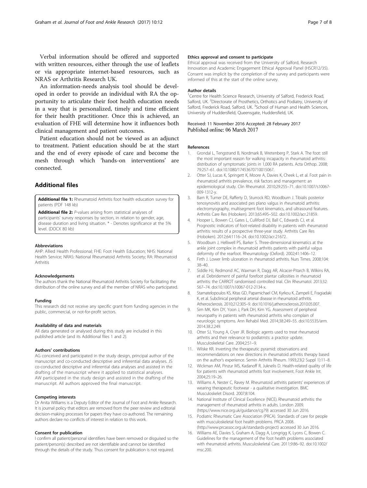<span id="page-7-0"></span>Verbal information should be offered and supported with written resources, either through the use of leaflets or via appropriate internet-based resources, such as NRAS or Arthritis Research UK.

An information-needs analysis tool should be developed in order to provide an individual with RA the opportunity to articulate their foot health education needs in a way that is personalized, timely and time efficient for their health practitioner. Once this is achieved, an evaluation of FHE will determine how it influences both clinical management and patient outcomes.

Patient education should not be viewed as an adjunct to treatment. Patient education should be at the start and the end of every episode of care and become the mesh through which 'hands-on interventions' are connected.

## Additional files

[Additional file 1:](dx.doi.org/10.1186/s13047-017-0193-6) Rheumatoid Arthritis foot health education survey for patients (PDF 148 kb)

[Additional file 2:](dx.doi.org/10.1186/s13047-017-0193-6) P-values arising from statistical analyses of participants' survey responses by section, in relation to gender, age, disease duration and living situation. \* - Denotes significance at the 5% level. (DOCX 80 kb)

#### Abbreviations

AHP: Allied Health Professional; FHE: Foot Health Education; NHS: National Health Service; NRAS: National Rheumatoid Arthritis Society; RA: Rheumatoid Arthritis

#### Acknowledgements

The authors thank the National Rheumatoid Arthritis Society for facilitating the distribution of the online survey and all the member of NRAS who participated.

#### Funding

This research did not receive any specific grant from funding agencies in the public, commercial, or not-for-profit sectors.

#### Availability of data and materials

All data generated or analysed during this study are included in this published article (and its Additional files 1 and 2).

#### Authors' contributions

AG conceived and participated in the study design, principal author of the manuscript and co-conducted descriptive and inferential data analyses. JS co-conducted descriptive and inferential data analyses and assisted in the drafting of the manuscript where it applied to statistical analyses. AW participated in the study design and assisted in the drafting of the manuscript. All authors approved the final manuscript.

## Competing interests

Dr Anita Williams is a Deputy Editor of the Journal of Foot and Ankle Research. It is journal policy that editors are removed from the peer review and editorial decision-making processes for papers they have co-authored. The remaining authors declare no conflicts of interest in relation to this work.

#### Consent for publication

I confirm all patient/personal identifiers have been removed or disguised so the patient/person(s) described are not identifiable and cannot be identified through the details of the study. Thus consent for publication is not required.

#### Ethics approval and consent to participate

Ethical approval was received from the University of Salford, Research Innovation and Academic Engagement Ethical Approval Panel (HSCR12/35). Consent was implicit by the completion of the survey and participants were informed of this at the start of the online survey.

#### Author details

<sup>1</sup> Centre for Health Science Research, University of Salford, Frederick Road Salford, UK. <sup>2</sup> Directorate of Prosthetics, Orthotics and Podiatry, University of Salford, Frederick Road, Salford, UK. <sup>3</sup>School of Human and Health Sciences University of Huddersfield, Queensgate, Huddersfield, UK.

#### Received: 11 November 2016 Accepted: 28 February 2017 Published online: 06 March 2017

#### References

- 1. Grondal L, Tengstrand B, Nordmark B, Wretenberg P, Stark A. The foot: still the most important reason for walking incapacity in rheumatoid arthritis: distribution of symptomatic joints in 1,000 RA patients. Acta Orthop. 2008; 79:257–61. doi:[10.1080/17453670710015067](http://dx.doi.org/10.1080/17453670710015067).
- 2. Otter SJ, Lucas K, Springett K, Moore A, Davies K, Cheek L, et al. Foot pain in rheumatoid arthritis prevalence, risk factors and management: an epidemiological study. Clin Rheumatol. 2010;29:255–71. doi[:10.1007/s10067-](http://dx.doi.org/10.1007/s10067-009-1312-y) [009-1312-y.](http://dx.doi.org/10.1007/s10067-009-1312-y)
- 3. Barn R, Turner DE, Rafferty D, Sturrock RD, Woodburn J. Tibialis posterior tenosynovitis and associated pes plano valgus in rheumatoid arthritis: electromyography, multisegment foot kinematics, and ultrasound features. Arthritis Care Res (Hoboken). 2013;65:495–502. doi:[10.1002/acr.21859.](http://dx.doi.org/10.1002/acr.21859)
- 4. Hooper L, Bowen CJ, Gates L, Culliford DJ, Ball C, Edwards CJ, et al. Prognostic indicators of foot-related disability in patients with rheumatoid arthritis: results of a prospective three-year study. Arthritis Care Res (Hoboken). 2012;64:1116–24. doi[:10.1002/acr.21672](http://dx.doi.org/10.1002/acr.21672).
- 5. Woodburn J, Helliwell PS, Barker S. Three-dimensional kinematics at the ankle joint complex in rheumatoid arthritis patients with painful valgus deformity of the rearfoot. Rheumatology (Oxford). 2002;41:1406–12.
- 6. Firth J. Lower limb ulceration in rheumatoid arthritis. Nurs Times. 2008;104: 38–40.
- 7. Siddle HJ, Redmond AC, Waxman R, Dagg AR, Alcacer-Pitarch B, Wilkins RA, et al. Debridement of painful forefoot plantar callosities in rheumatoid arthritis: the CARROT randomised controlled trial. Clin Rheumatol. 2013;32: 567–74. doi:[10.1007/s10067-012-2134-x.](http://dx.doi.org/10.1007/s10067-012-2134-x)
- 8. Stamatelopoulos KS, Kitas GD, Papamichael CM, Kyrkou K, Zampeli E, Fragiadaki K, et al. Subclinical peripheral arterial disease in rheumatoid arthritis. Atherosclerosis. 2010;212:305–9. doi[:10.1016/j.atherosclerosis.2010.05.007](http://dx.doi.org/10.1016/j.atherosclerosis.2010.05.007).
- 9. Sim MK, Kim DY, Yoon J, Park DH, Kim YG. Assessment of peripheral neuropathy in patients with rheumatoid arthritis who complain of neurologic symptoms. Ann Rehabil Med. 2014;38:249–55. doi[:10.5535/arm.](http://dx.doi.org/10.5535/arm.2014.38.2.249) [2014.38.2.249](http://dx.doi.org/10.5535/arm.2014.38.2.249).
- 10. Otter SJ, Young A, Cryer JR. Biologic agents used to treat rheumatoid arthritis and their relevance to podiatrists: a practice update. Musculoskeletal Care. 2004;2:51–9.
- 11. Wilske KR. Inverting the therapeutic pyramid: observations and recommendations on new directions in rheumatoid arthritis therapy based on the author's experience. Semin Arthritis Rheum. 1993;23(2 Suppl 1):11–8.
- 12. Wickman AM, Pinzur MS, Kadanoff R, Juknelis D. Health-related quality of life for patients with rheumatoid arthritis foot involvement. Foot Ankle Int. 2004;25:19–26.
- 13. Williams A, Nester C, Ravey M. Rheumatoid arthritis patients' experiences of wearing therapeutic footwear - a qualitative investigation. BMC Musculoskelet Disord. 2007;8:104.
- 14. National Institute of Clinical Excellence (NICE). Rheumatoid arthritis: the management of rheumatoid arthritis in adults. London 2009. (<https://www.nice.org.uk/guidance/cg79>) accessed 30 Jun 2016.
- 15. Podiatric Rheumatic Care Association (PRCA). Standards of care for people with musculoskeletal foot health problems. PRCA 2008. ([http://www.prcassoc.org.uk/standards-project\)](http://www.prcassoc.org.uk/standards-project) accessed 30 Jun 2016.
- 16. Williams AE, Davies S, Graham A, Dagg A, Longrigg K, Lyons C, Bowen C. Guidelines for the management of the foot health problems associated with rheumatoid arthritis. Musculoskeletal Care. 2011;9:86–92. doi[:10.1002/](http://dx.doi.org/10.1002/msc.200) [msc.200.](http://dx.doi.org/10.1002/msc.200)